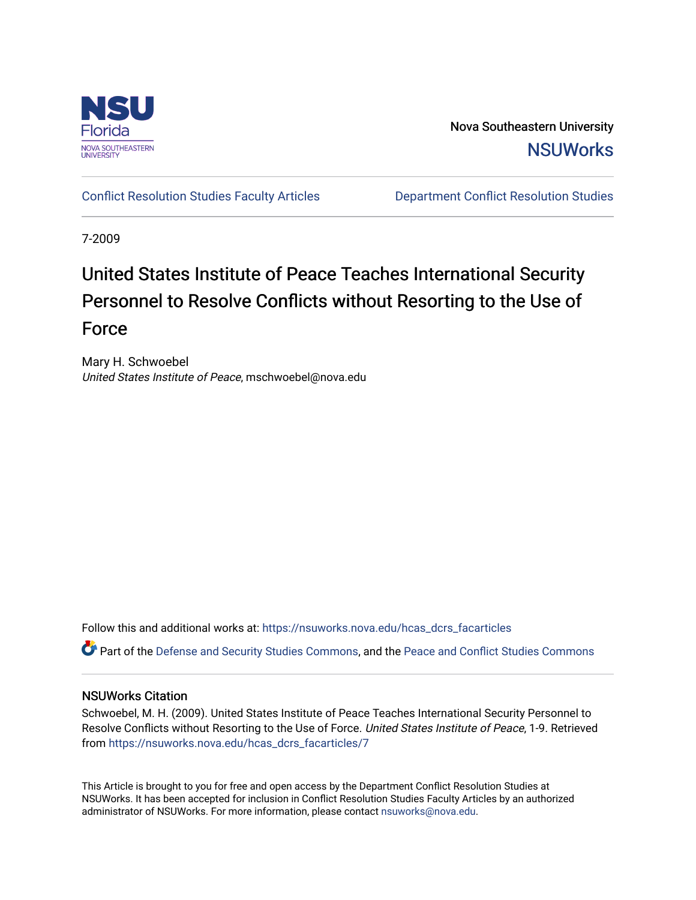

Nova Southeastern University **NSUWorks** 

[Conflict Resolution Studies Faculty Articles](https://nsuworks.nova.edu/hcas_dcrs_facarticles) [Department Conflict Resolution Studies](https://nsuworks.nova.edu/hcas_dcrs) 

7-2009

# United States Institute of Peace Teaches International Security Personnel to Resolve Conflicts without Resorting to the Use of Force

Mary H. Schwoebel United States Institute of Peace, mschwoebel@nova.edu

Follow this and additional works at: [https://nsuworks.nova.edu/hcas\\_dcrs\\_facarticles](https://nsuworks.nova.edu/hcas_dcrs_facarticles?utm_source=nsuworks.nova.edu%2Fhcas_dcrs_facarticles%2F7&utm_medium=PDF&utm_campaign=PDFCoverPages)

Part of the [Defense and Security Studies Commons](http://network.bepress.com/hgg/discipline/394?utm_source=nsuworks.nova.edu%2Fhcas_dcrs_facarticles%2F7&utm_medium=PDF&utm_campaign=PDFCoverPages), and the [Peace and Conflict Studies Commons](http://network.bepress.com/hgg/discipline/397?utm_source=nsuworks.nova.edu%2Fhcas_dcrs_facarticles%2F7&utm_medium=PDF&utm_campaign=PDFCoverPages)

#### NSUWorks Citation

Schwoebel, M. H. (2009). United States Institute of Peace Teaches International Security Personnel to Resolve Conflicts without Resorting to the Use of Force. United States Institute of Peace, 1-9. Retrieved from [https://nsuworks.nova.edu/hcas\\_dcrs\\_facarticles/7](https://nsuworks.nova.edu/hcas_dcrs_facarticles/7?utm_source=nsuworks.nova.edu%2Fhcas_dcrs_facarticles%2F7&utm_medium=PDF&utm_campaign=PDFCoverPages) 

This Article is brought to you for free and open access by the Department Conflict Resolution Studies at NSUWorks. It has been accepted for inclusion in Conflict Resolution Studies Faculty Articles by an authorized administrator of NSUWorks. For more information, please contact [nsuworks@nova.edu.](mailto:nsuworks@nova.edu)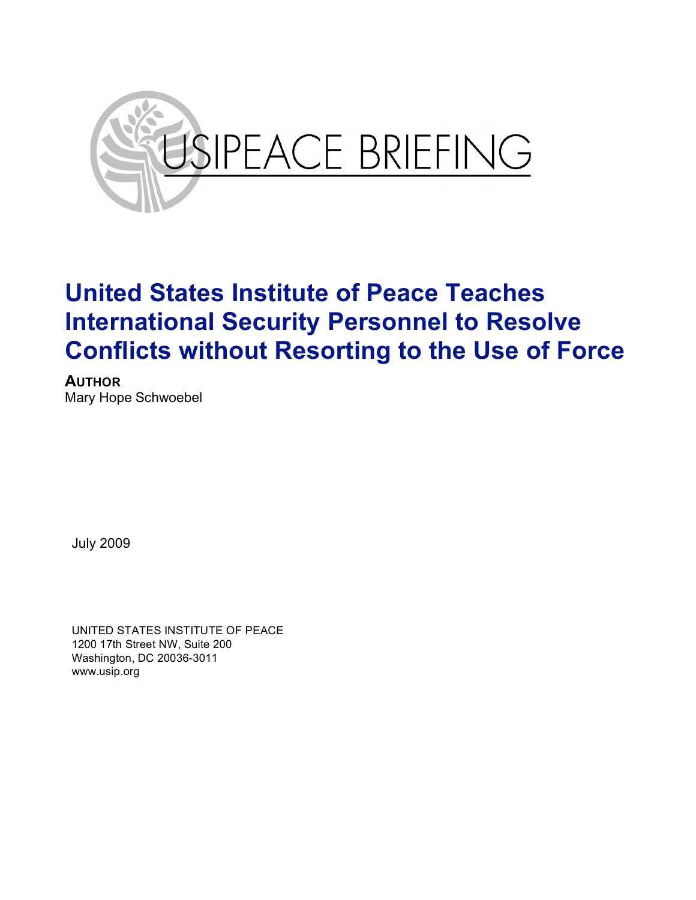

**AUTHOR** Mary Hope Schwoebel

July 2009

UNITED STATES INSTITUTE OF PEACE 1200 17th Street NW, Suite 200 Washington, DC 20036-3011 www.usip.org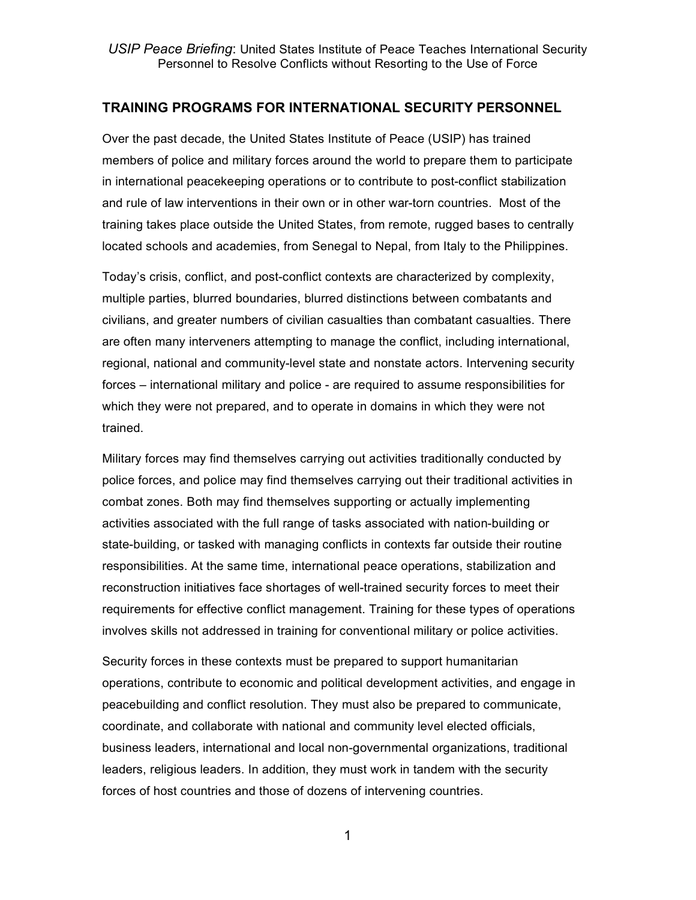### **TRAINING PROGRAMS FOR INTERNATIONAL SECURITY PERSONNEL**

Over the past decade, the United States Institute of Peace (USIP) has trained members of police and military forces around the world to prepare them to participate in international peacekeeping operations or to contribute to post-conflict stabilization and rule of law interventions in their own or in other war-torn countries. Most of the training takes place outside the United States, from remote, rugged bases to centrally located schools and academies, from Senegal to Nepal, from Italy to the Philippines.

Today's crisis, conflict, and post-conflict contexts are characterized by complexity, multiple parties, blurred boundaries, blurred distinctions between combatants and civilians, and greater numbers of civilian casualties than combatant casualties. There are often many interveners attempting to manage the conflict, including international, regional, national and community-level state and nonstate actors. Intervening security forces – international military and police - are required to assume responsibilities for which they were not prepared, and to operate in domains in which they were not trained.

Military forces may find themselves carrying out activities traditionally conducted by police forces, and police may find themselves carrying out their traditional activities in combat zones. Both may find themselves supporting or actually implementing activities associated with the full range of tasks associated with nation-building or state-building, or tasked with managing conflicts in contexts far outside their routine responsibilities. At the same time, international peace operations, stabilization and reconstruction initiatives face shortages of well-trained security forces to meet their requirements for effective conflict management. Training for these types of operations involves skills not addressed in training for conventional military or police activities.

Security forces in these contexts must be prepared to support humanitarian operations, contribute to economic and political development activities, and engage in peacebuilding and conflict resolution. They must also be prepared to communicate, coordinate, and collaborate with national and community level elected officials, business leaders, international and local non-governmental organizations, traditional leaders, religious leaders. In addition, they must work in tandem with the security forces of host countries and those of dozens of intervening countries.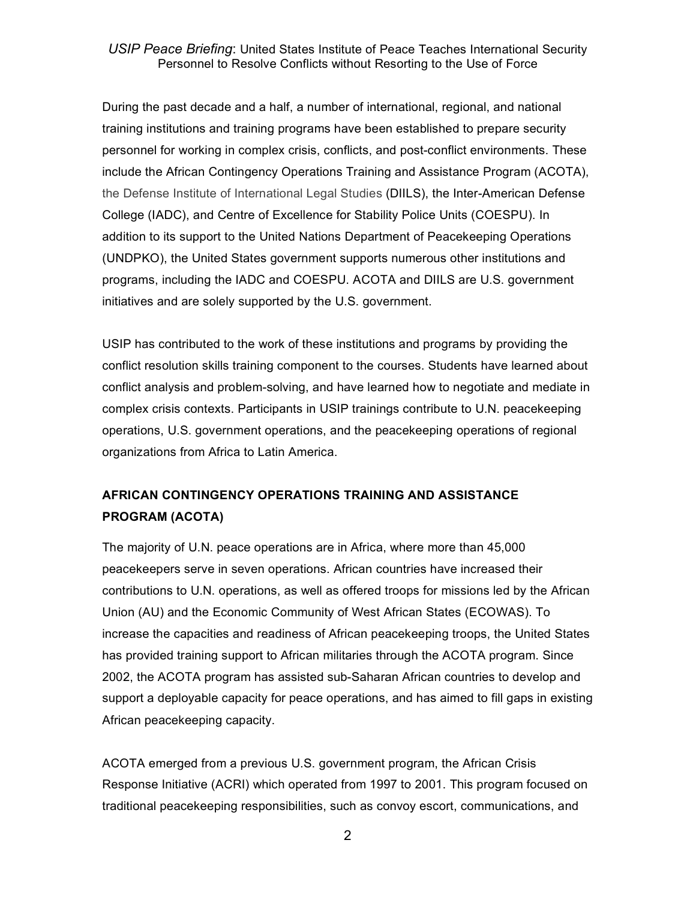During the past decade and a half, a number of international, regional, and national training institutions and training programs have been established to prepare security personnel for working in complex crisis, conflicts, and post-conflict environments. These include the African Contingency Operations Training and Assistance Program (ACOTA), the Defense Institute of International Legal Studies (DIILS), the Inter-American Defense College (IADC), and Centre of Excellence for Stability Police Units (COESPU). In addition to its support to the United Nations Department of Peacekeeping Operations (UNDPKO), the United States government supports numerous other institutions and programs, including the IADC and COESPU. ACOTA and DIILS are U.S. government initiatives and are solely supported by the U.S. government.

USIP has contributed to the work of these institutions and programs by providing the conflict resolution skills training component to the courses. Students have learned about conflict analysis and problem-solving, and have learned how to negotiate and mediate in complex crisis contexts. Participants in USIP trainings contribute to U.N. peacekeeping operations, U.S. government operations, and the peacekeeping operations of regional organizations from Africa to Latin America.

# **AFRICAN CONTINGENCY OPERATIONS TRAINING AND ASSISTANCE PROGRAM (ACOTA)**

The majority of U.N. peace operations are in Africa, where more than 45,000 peacekeepers serve in seven operations. African countries have increased their contributions to U.N. operations, as well as offered troops for missions led by the African Union (AU) and the Economic Community of West African States (ECOWAS). To increase the capacities and readiness of African peacekeeping troops, the United States has provided training support to African militaries through the ACOTA program. Since 2002, the ACOTA program has assisted sub-Saharan African countries to develop and support a deployable capacity for peace operations, and has aimed to fill gaps in existing African peacekeeping capacity.

ACOTA emerged from a previous U.S. government program, the African Crisis Response Initiative (ACRI) which operated from 1997 to 2001. This program focused on traditional peacekeeping responsibilities, such as convoy escort, communications, and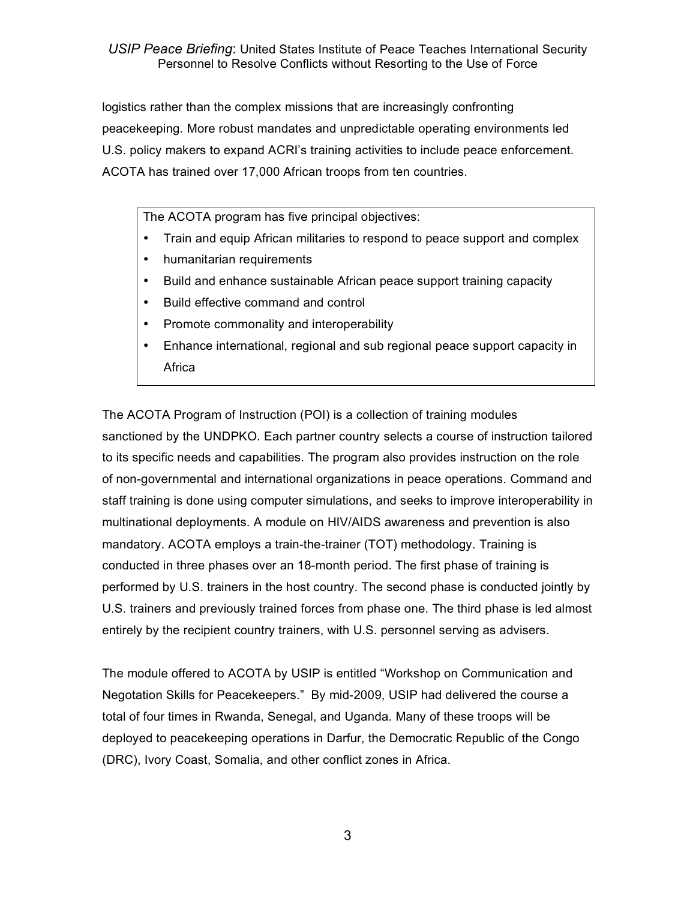logistics rather than the complex missions that are increasingly confronting peacekeeping. More robust mandates and unpredictable operating environments led U.S. policy makers to expand ACRI's training activities to include peace enforcement. ACOTA has trained over 17,000 African troops from ten countries.

The ACOTA program has five principal objectives:

- Train and equip African militaries to respond to peace support and complex
- humanitarian requirements
- Build and enhance sustainable African peace support training capacity
- Build effective command and control
- Promote commonality and interoperability
- Enhance international, regional and sub regional peace support capacity in Africa

The ACOTA Program of Instruction (POI) is a collection of training modules sanctioned by the UNDPKO. Each partner country selects a course of instruction tailored to its specific needs and capabilities. The program also provides instruction on the role of non-governmental and international organizations in peace operations. Command and staff training is done using computer simulations, and seeks to improve interoperability in multinational deployments. A module on HIV/AIDS awareness and prevention is also mandatory. ACOTA employs a train-the-trainer (TOT) methodology. Training is conducted in three phases over an 18-month period. The first phase of training is performed by U.S. trainers in the host country. The second phase is conducted jointly by U.S. trainers and previously trained forces from phase one. The third phase is led almost entirely by the recipient country trainers, with U.S. personnel serving as advisers.

The module offered to ACOTA by USIP is entitled "Workshop on Communication and Negotation Skills for Peacekeepers." By mid-2009, USIP had delivered the course a total of four times in Rwanda, Senegal, and Uganda. Many of these troops will be deployed to peacekeeping operations in Darfur, the Democratic Republic of the Congo (DRC), Ivory Coast, Somalia, and other conflict zones in Africa.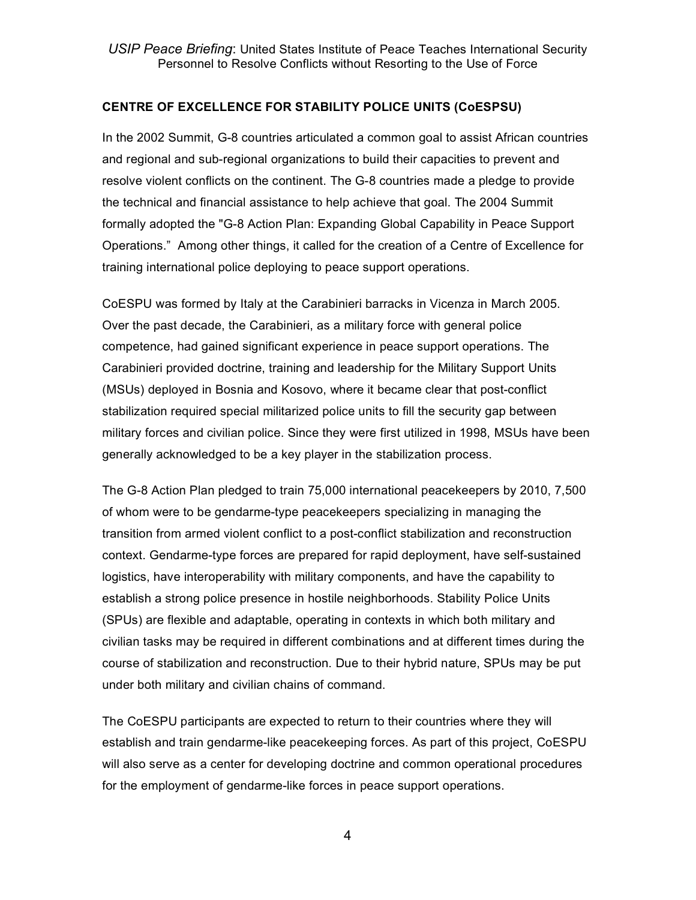### **CENTRE OF EXCELLENCE FOR STABILITY POLICE UNITS (CoESPSU)**

In the 2002 Summit, G-8 countries articulated a common goal to assist African countries and regional and sub-regional organizations to build their capacities to prevent and resolve violent conflicts on the continent. The G-8 countries made a pledge to provide the technical and financial assistance to help achieve that goal. The 2004 Summit formally adopted the "G-8 Action Plan: Expanding Global Capability in Peace Support Operations." Among other things, it called for the creation of a Centre of Excellence for training international police deploying to peace support operations.

CoESPU was formed by Italy at the Carabinieri barracks in Vicenza in March 2005. Over the past decade, the Carabinieri, as a military force with general police competence, had gained significant experience in peace support operations. The Carabinieri provided doctrine, training and leadership for the Military Support Units (MSUs) deployed in Bosnia and Kosovo, where it became clear that post-conflict stabilization required special militarized police units to fill the security gap between military forces and civilian police. Since they were first utilized in 1998, MSUs have been generally acknowledged to be a key player in the stabilization process.

The G-8 Action Plan pledged to train 75,000 international peacekeepers by 2010, 7,500 of whom were to be gendarme-type peacekeepers specializing in managing the transition from armed violent conflict to a post-conflict stabilization and reconstruction context. Gendarme-type forces are prepared for rapid deployment, have self-sustained logistics, have interoperability with military components, and have the capability to establish a strong police presence in hostile neighborhoods. Stability Police Units (SPUs) are flexible and adaptable, operating in contexts in which both military and civilian tasks may be required in different combinations and at different times during the course of stabilization and reconstruction. Due to their hybrid nature, SPUs may be put under both military and civilian chains of command.

The CoESPU participants are expected to return to their countries where they will establish and train gendarme-like peacekeeping forces. As part of this project, CoESPU will also serve as a center for developing doctrine and common operational procedures for the employment of gendarme-like forces in peace support operations.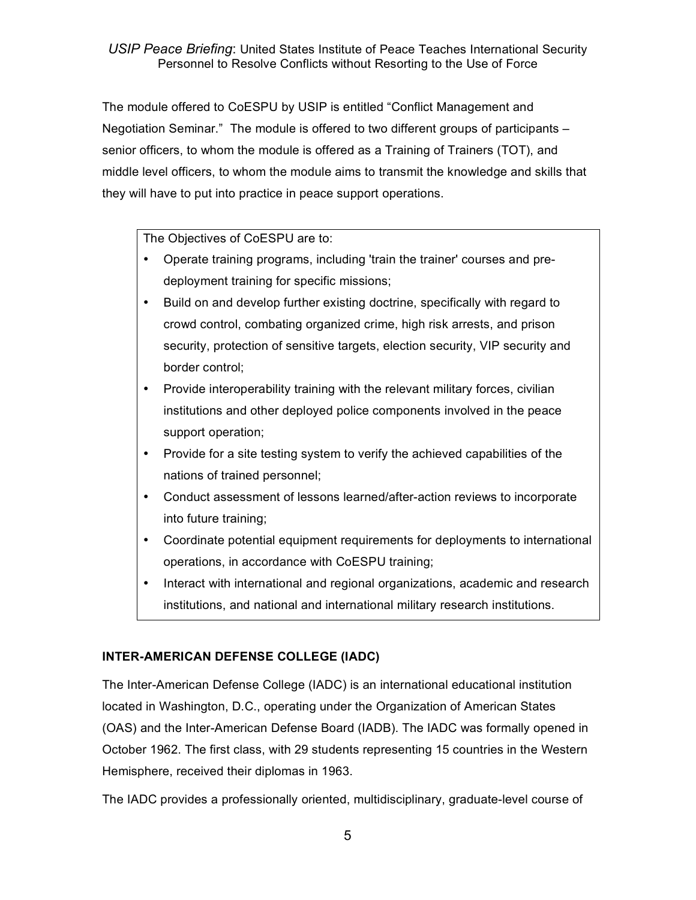The module offered to CoESPU by USIP is entitled "Conflict Management and Negotiation Seminar." The module is offered to two different groups of participants – senior officers, to whom the module is offered as a Training of Trainers (TOT), and middle level officers, to whom the module aims to transmit the knowledge and skills that they will have to put into practice in peace support operations.

The Objectives of CoESPU are to:

- Operate training programs, including 'train the trainer' courses and predeployment training for specific missions;
- Build on and develop further existing doctrine, specifically with regard to crowd control, combating organized crime, high risk arrests, and prison security, protection of sensitive targets, election security, VIP security and border control;
- Provide interoperability training with the relevant military forces, civilian institutions and other deployed police components involved in the peace support operation;
- Provide for a site testing system to verify the achieved capabilities of the nations of trained personnel;
- Conduct assessment of lessons learned/after-action reviews to incorporate into future training;
- Coordinate potential equipment requirements for deployments to international operations, in accordance with CoESPU training;
- Interact with international and regional organizations, academic and research institutions, and national and international military research institutions.

## **INTER-AMERICAN DEFENSE COLLEGE (IADC)**

The Inter-American Defense College (IADC) is an international educational institution located in Washington, D.C., operating under the Organization of American States (OAS) and the Inter-American Defense Board (IADB). The IADC was formally opened in October 1962. The first class, with 29 students representing 15 countries in the Western Hemisphere, received their diplomas in 1963.

The IADC provides a professionally oriented, multidisciplinary, graduate-level course of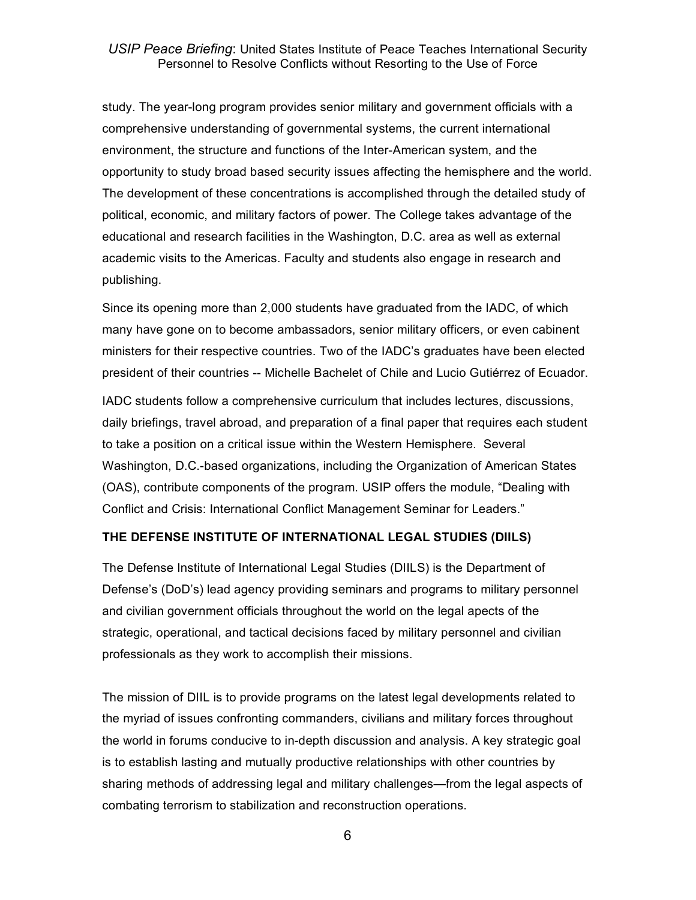study. The year-long program provides senior military and government officials with a comprehensive understanding of governmental systems, the current international environment, the structure and functions of the Inter-American system, and the opportunity to study broad based security issues affecting the hemisphere and the world. The development of these concentrations is accomplished through the detailed study of political, economic, and military factors of power. The College takes advantage of the educational and research facilities in the Washington, D.C. area as well as external academic visits to the Americas. Faculty and students also engage in research and publishing.

Since its opening more than 2,000 students have graduated from the IADC, of which many have gone on to become ambassadors, senior military officers, or even cabinent ministers for their respective countries. Two of the IADC's graduates have been elected president of their countries -- Michelle Bachelet of Chile and Lucio Gutiérrez of Ecuador.

IADC students follow a comprehensive curriculum that includes lectures, discussions, daily briefings, travel abroad, and preparation of a final paper that requires each student to take a position on a critical issue within the Western Hemisphere. Several Washington, D.C.-based organizations, including the Organization of American States (OAS), contribute components of the program. USIP offers the module, "Dealing with Conflict and Crisis: International Conflict Management Seminar for Leaders."

#### **THE DEFENSE INSTITUTE OF INTERNATIONAL LEGAL STUDIES (DIILS)**

The Defense Institute of International Legal Studies (DIILS) is the Department of Defense's (DoD's) lead agency providing seminars and programs to military personnel and civilian government officials throughout the world on the legal apects of the strategic, operational, and tactical decisions faced by military personnel and civilian professionals as they work to accomplish their missions.

The mission of DIIL is to provide programs on the latest legal developments related to the myriad of issues confronting commanders, civilians and military forces throughout the world in forums conducive to in-depth discussion and analysis. A key strategic goal is to establish lasting and mutually productive relationships with other countries by sharing methods of addressing legal and military challenges—from the legal aspects of combating terrorism to stabilization and reconstruction operations.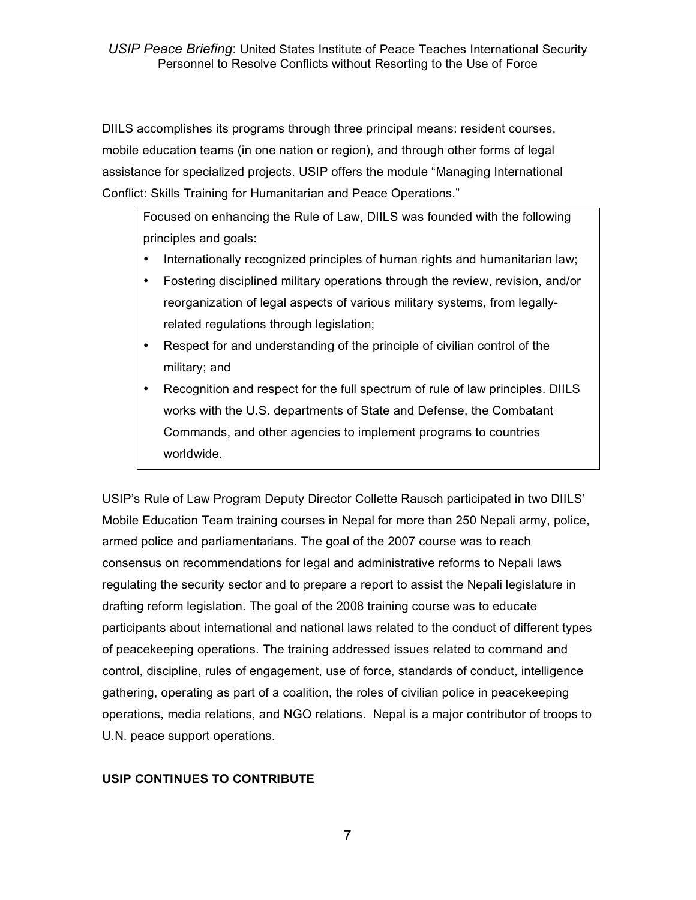DIILS accomplishes its programs through three principal means: resident courses, mobile education teams (in one nation or region), and through other forms of legal assistance for specialized projects. USIP offers the module "Managing International Conflict: Skills Training for Humanitarian and Peace Operations."

Focused on enhancing the Rule of Law, DIILS was founded with the following principles and goals:

- Internationally recognized principles of human rights and humanitarian law;
- Fostering disciplined military operations through the review, revision, and/or reorganization of legal aspects of various military systems, from legallyrelated regulations through legislation;
- Respect for and understanding of the principle of civilian control of the military; and
- Recognition and respect for the full spectrum of rule of law principles. DIILS works with the U.S. departments of State and Defense, the Combatant Commands, and other agencies to implement programs to countries worldwide.

USIP's Rule of Law Program Deputy Director Collette Rausch participated in two DIILS' Mobile Education Team training courses in Nepal for more than 250 Nepali army, police, armed police and parliamentarians. The goal of the 2007 course was to reach consensus on recommendations for legal and administrative reforms to Nepali laws regulating the security sector and to prepare a report to assist the Nepali legislature in drafting reform legislation. The goal of the 2008 training course was to educate participants about international and national laws related to the conduct of different types of peacekeeping operations. The training addressed issues related to command and control, discipline, rules of engagement, use of force, standards of conduct, intelligence gathering, operating as part of a coalition, the roles of civilian police in peacekeeping operations, media relations, and NGO relations. Nepal is a major contributor of troops to U.N. peace support operations.

## **USIP CONTINUES TO CONTRIBUTE**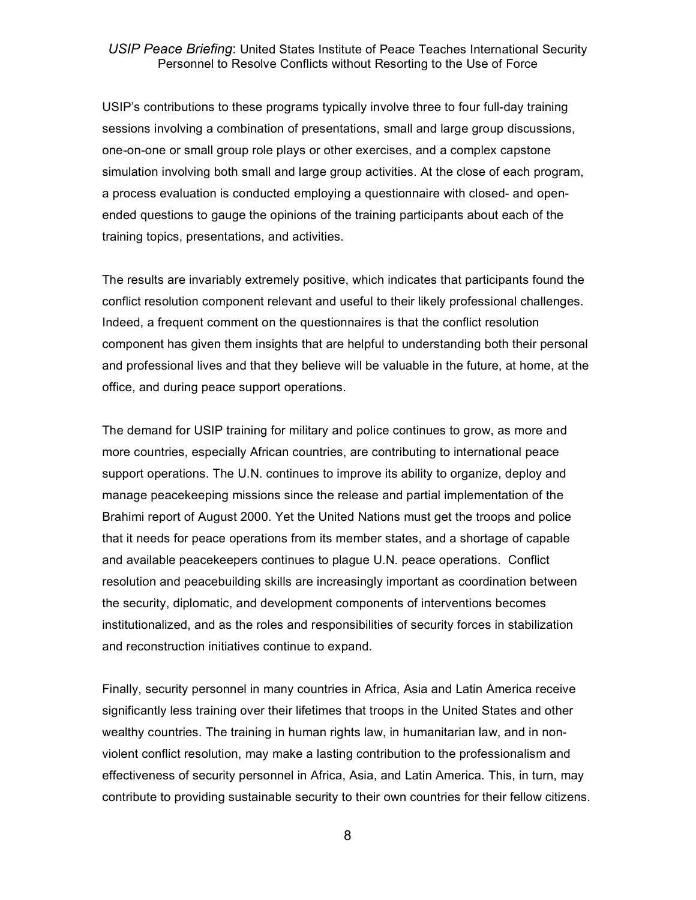USIP's contributions to these programs typically involve three to four full-day training sessions involving a combination of presentations, small and large group discussions, one-on-one or small group role plays or other exercises, and a complex capstone simulation involving both small and large group activities. At the close of each program, a process evaluation is conducted employing a questionnaire with closed- and openended questions to gauge the opinions of the training participants about each of the training topics, presentations, and activities.

The results are invariably extremely positive, which indicates that participants found the conflict resolution component relevant and useful to their likely professional challenges. Indeed, a frequent comment on the questionnaires is that the conflict resolution component has given them insights that are helpful to understanding both their personal and professional lives and that they believe will be valuable in the future, at home, at the office, and during peace support operations.

The demand for USIP training for military and police continues to grow, as more and more countries, especially African countries, are contributing to international peace support operations. The U.N. continues to improve its ability to organize, deploy and manage peacekeeping missions since the release and partial implementation of the Brahimi report of August 2000. Yet the United Nations must get the troops and police that it needs for peace operations from its member states, and a shortage of capable and available peacekeepers continues to plague U.N. peace operations. Conflict resolution and peacebuilding skills are increasingly important as coordination between the security, diplomatic, and development components of interventions becomes institutionalized, and as the roles and responsibilities of security forces in stabilization and reconstruction initiatives continue to expand.

Finally, security personnel in many countries in Africa, Asia and Latin America receive significantly less training over their lifetimes that troops in the United States and other wealthy countries. The training in human rights law, in humanitarian law, and in nonviolent conflict resolution, may make a lasting contribution to the professionalism and effectiveness of security personnel in Africa, Asia, and Latin America. This, in turn, may contribute to providing sustainable security to their own countries for their fellow citizens.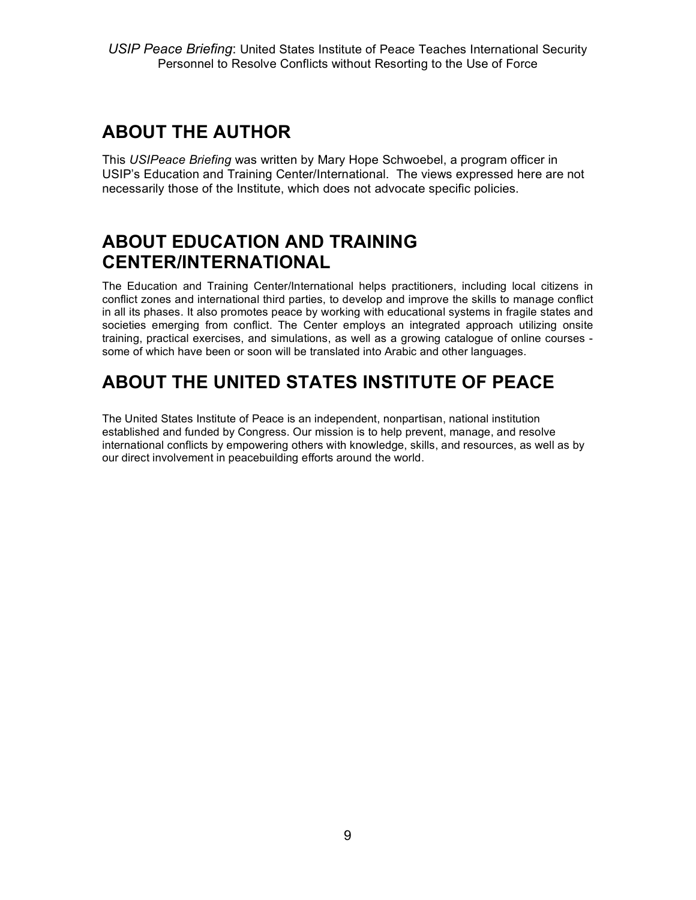# **ABOUT THE AUTHOR**

This *USIPeace Briefing* was written by Mary Hope Schwoebel, a program officer in USIP's Education and Training Center/International. The views expressed here are not necessarily those of the Institute, which does not advocate specific policies.

# **ABOUT EDUCATION AND TRAINING CENTER/INTERNATIONAL**

The Education and Training Center/International helps practitioners, including local citizens in conflict zones and international third parties, to develop and improve the skills to manage conflict in all its phases. It also promotes peace by working with educational systems in fragile states and societies emerging from conflict. The Center employs an integrated approach utilizing onsite training, practical exercises, and simulations, as well as a growing catalogue of online courses some of which have been or soon will be translated into Arabic and other languages.

# **ABOUT THE UNITED STATES INSTITUTE OF PEACE**

The United States Institute of Peace is an independent, nonpartisan, national institution established and funded by Congress. Our mission is to help prevent, manage, and resolve international conflicts by empowering others with knowledge, skills, and resources, as well as by our direct involvement in peacebuilding efforts around the world.